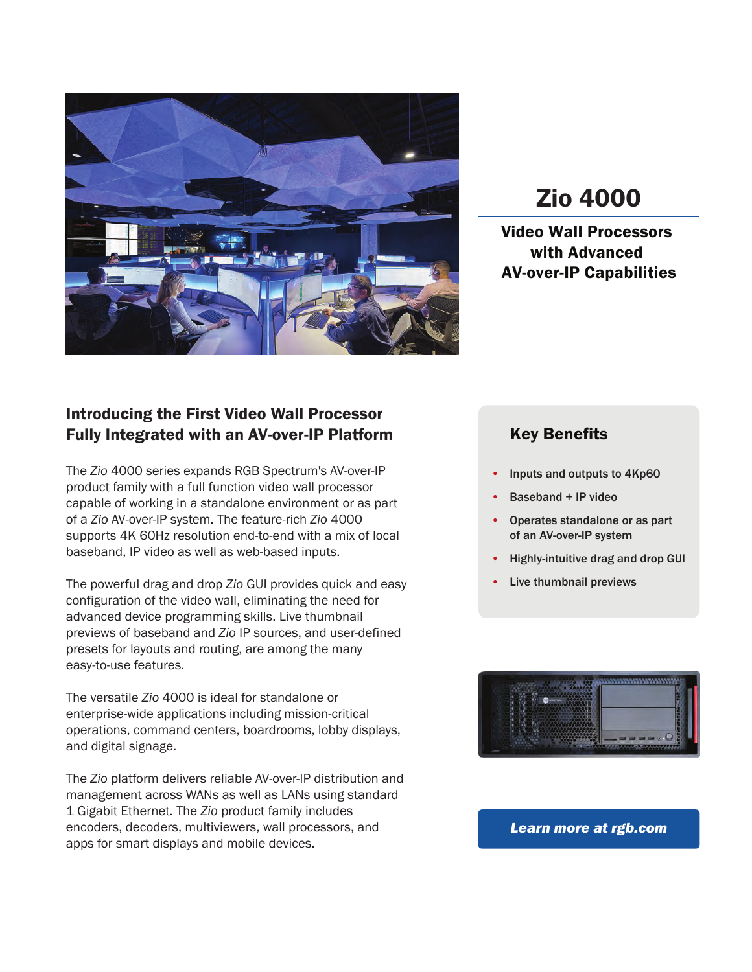

# Zio 4000

Video Wall Processors with Advanced AV-over-IP Capabilities

### Introducing the First Video Wall Processor Fully Integrated with an AV-over-IP Platform

The *Zio* 4000 series expands RGB Spectrum's AV-over-IP product family with a full function video wall processor capable of working in a standalone environment or as part of a *Zio* AV-over-IP system. The feature-rich *Zio* 4000 supports 4K 60Hz resolution end-to-end with a mix of local baseband, IP video as well as web-based inputs.

The powerful drag and drop *Zio* GUI provides quick and easy configuration of the video wall, eliminating the need for advanced device programming skills. Live thumbnail previews of baseband and *Zio* IP sources, and user-defined presets for layouts and routing, are among the many easy-to-use features.

The versatile *Zio* 4000 is ideal for standalone or enterprise-wide applications including mission-critical operations, command centers, boardrooms, lobby displays, and digital signage.

The *Zio* platform delivers reliable AV-over-IP distribution and management across WANs as well as LANs using standard 1 Gigabit Ethernet. The *Zio* product family includes encoders, decoders, multiviewers, wall processors, and apps for smart displays and mobile devices.

### Key Benefits

- Inputs and outputs to 4Kp60
- Baseband + IP video
- Operates standalone or as part of an AV-over-IP system
- Highly-intuitive drag and drop GUI
- Live thumbnail previews



### *Learn more at rgb.com*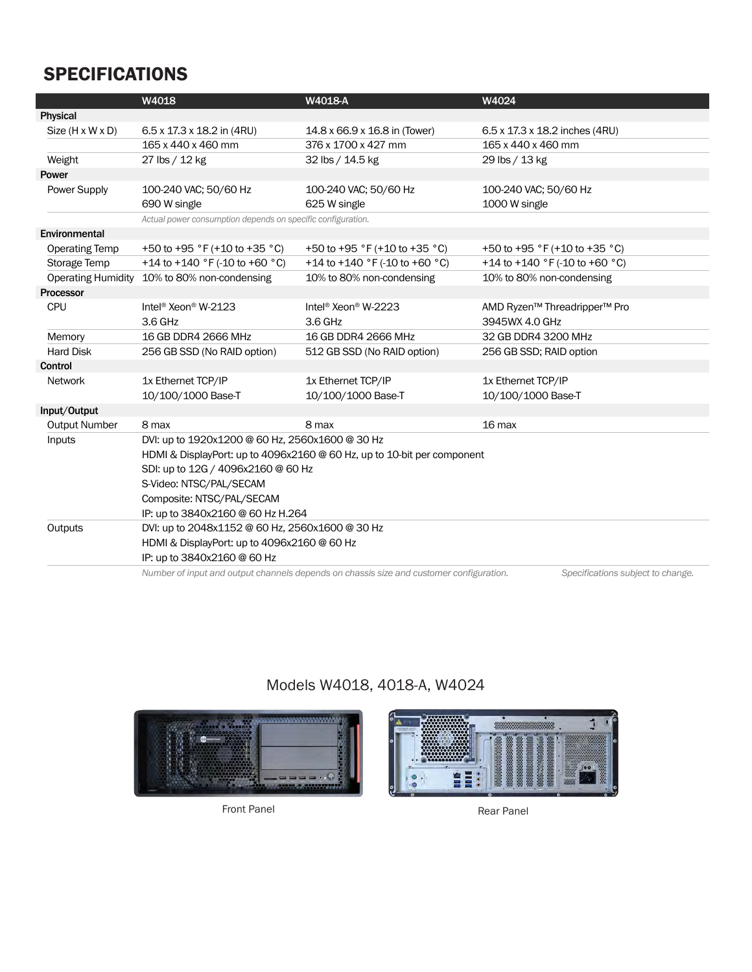# SPECIFICATIONS

| 6.5 x 17.3 x 18.2 in (4RU)<br>Size $(H \times W \times D)$<br>14.8 x 66.9 x 16.8 in (Tower)<br>6.5 x 17.3 x 18.2 inches (4RU)<br>165 x 440 x 460 mm<br>376 x 1700 x 427 mm<br>165 x 440 x 460 mm<br>Weight<br>27 lbs / 12 kg<br>32 lbs / 14.5 kg<br>29 lbs / 13 kg<br>Power Supply<br>100-240 VAC; 50/60 Hz<br>100-240 VAC; 50/60 Hz<br>100-240 VAC; 50/60 Hz<br>690 W single<br>625 W single<br>1000 W single<br>Actual power consumption depends on specific configuration.<br><b>Operating Temp</b><br>+50 to +95 $\degree$ F (+10 to +35 $\degree$ C)<br>+50 to +95 $\degree$ F (+10 to +35 $\degree$ C)<br>+50 to +95 $\degree$ F (+10 to +35 $\degree$ C)<br>+14 to +140 °F (-10 to +60 °C)<br>+14 to +140 °F (-10 to +60 °C)<br>+14 to +140 °F (-10 to +60 °C)<br>Storage Temp<br>10% to 80% non-condensing<br>10% to 80% non-condensing<br>10% to 80% non-condensing<br><b>Operating Humidity</b><br>Intel <sup>®</sup> Xeon <sup>®</sup> W-2123<br>Intel <sup>®</sup> Xeon <sup>®</sup> W-2223<br><b>CPU</b><br>AMD Ryzen <sup>™</sup> Threadripper <sup>™</sup> Pro<br>3945WX 4.0 GHz<br>3.6 GHz<br>3.6 GHz<br>Memory<br>16 GB DDR4 2666 MHz<br>16 GB DDR4 2666 MHz<br>32 GB DDR4 3200 MHz<br><b>Hard Disk</b><br>256 GB SSD (No RAID option)<br>512 GB SSD (No RAID option)<br>256 GB SSD; RAID option<br>1x Ethernet TCP/IP<br>1x Ethernet TCP/IP<br>1x Ethernet TCP/IP<br><b>Network</b><br>10/100/1000 Base-T<br>10/100/1000 Base-T<br>10/100/1000 Base-T<br><b>Output Number</b><br>8 max<br>8 max<br>16 max<br>DVI: up to 1920x1200 @ 60 Hz, 2560x1600 @ 30 Hz<br>Inputs<br>HDMI & DisplayPort: up to 4096x2160 @ 60 Hz, up to 10-bit per component<br>SDI: up to 12G / 4096x2160 @ 60 Hz<br>S-Video: NTSC/PAL/SECAM |               | W4018                     | W4018-A | W4024 |  |  |
|--------------------------------------------------------------------------------------------------------------------------------------------------------------------------------------------------------------------------------------------------------------------------------------------------------------------------------------------------------------------------------------------------------------------------------------------------------------------------------------------------------------------------------------------------------------------------------------------------------------------------------------------------------------------------------------------------------------------------------------------------------------------------------------------------------------------------------------------------------------------------------------------------------------------------------------------------------------------------------------------------------------------------------------------------------------------------------------------------------------------------------------------------------------------------------------------------------------------------------------------------------------------------------------------------------------------------------------------------------------------------------------------------------------------------------------------------------------------------------------------------------------------------------------------------------------------------------------------------------------------------------------------------------------------------------------------------------------------------------------|---------------|---------------------------|---------|-------|--|--|
|                                                                                                                                                                                                                                                                                                                                                                                                                                                                                                                                                                                                                                                                                                                                                                                                                                                                                                                                                                                                                                                                                                                                                                                                                                                                                                                                                                                                                                                                                                                                                                                                                                                                                                                                      | Physical      |                           |         |       |  |  |
|                                                                                                                                                                                                                                                                                                                                                                                                                                                                                                                                                                                                                                                                                                                                                                                                                                                                                                                                                                                                                                                                                                                                                                                                                                                                                                                                                                                                                                                                                                                                                                                                                                                                                                                                      |               |                           |         |       |  |  |
|                                                                                                                                                                                                                                                                                                                                                                                                                                                                                                                                                                                                                                                                                                                                                                                                                                                                                                                                                                                                                                                                                                                                                                                                                                                                                                                                                                                                                                                                                                                                                                                                                                                                                                                                      |               |                           |         |       |  |  |
|                                                                                                                                                                                                                                                                                                                                                                                                                                                                                                                                                                                                                                                                                                                                                                                                                                                                                                                                                                                                                                                                                                                                                                                                                                                                                                                                                                                                                                                                                                                                                                                                                                                                                                                                      |               |                           |         |       |  |  |
|                                                                                                                                                                                                                                                                                                                                                                                                                                                                                                                                                                                                                                                                                                                                                                                                                                                                                                                                                                                                                                                                                                                                                                                                                                                                                                                                                                                                                                                                                                                                                                                                                                                                                                                                      | Power         |                           |         |       |  |  |
|                                                                                                                                                                                                                                                                                                                                                                                                                                                                                                                                                                                                                                                                                                                                                                                                                                                                                                                                                                                                                                                                                                                                                                                                                                                                                                                                                                                                                                                                                                                                                                                                                                                                                                                                      |               |                           |         |       |  |  |
|                                                                                                                                                                                                                                                                                                                                                                                                                                                                                                                                                                                                                                                                                                                                                                                                                                                                                                                                                                                                                                                                                                                                                                                                                                                                                                                                                                                                                                                                                                                                                                                                                                                                                                                                      |               |                           |         |       |  |  |
|                                                                                                                                                                                                                                                                                                                                                                                                                                                                                                                                                                                                                                                                                                                                                                                                                                                                                                                                                                                                                                                                                                                                                                                                                                                                                                                                                                                                                                                                                                                                                                                                                                                                                                                                      |               |                           |         |       |  |  |
|                                                                                                                                                                                                                                                                                                                                                                                                                                                                                                                                                                                                                                                                                                                                                                                                                                                                                                                                                                                                                                                                                                                                                                                                                                                                                                                                                                                                                                                                                                                                                                                                                                                                                                                                      | Environmental |                           |         |       |  |  |
|                                                                                                                                                                                                                                                                                                                                                                                                                                                                                                                                                                                                                                                                                                                                                                                                                                                                                                                                                                                                                                                                                                                                                                                                                                                                                                                                                                                                                                                                                                                                                                                                                                                                                                                                      |               |                           |         |       |  |  |
|                                                                                                                                                                                                                                                                                                                                                                                                                                                                                                                                                                                                                                                                                                                                                                                                                                                                                                                                                                                                                                                                                                                                                                                                                                                                                                                                                                                                                                                                                                                                                                                                                                                                                                                                      |               |                           |         |       |  |  |
|                                                                                                                                                                                                                                                                                                                                                                                                                                                                                                                                                                                                                                                                                                                                                                                                                                                                                                                                                                                                                                                                                                                                                                                                                                                                                                                                                                                                                                                                                                                                                                                                                                                                                                                                      |               |                           |         |       |  |  |
|                                                                                                                                                                                                                                                                                                                                                                                                                                                                                                                                                                                                                                                                                                                                                                                                                                                                                                                                                                                                                                                                                                                                                                                                                                                                                                                                                                                                                                                                                                                                                                                                                                                                                                                                      | Processor     |                           |         |       |  |  |
|                                                                                                                                                                                                                                                                                                                                                                                                                                                                                                                                                                                                                                                                                                                                                                                                                                                                                                                                                                                                                                                                                                                                                                                                                                                                                                                                                                                                                                                                                                                                                                                                                                                                                                                                      |               |                           |         |       |  |  |
|                                                                                                                                                                                                                                                                                                                                                                                                                                                                                                                                                                                                                                                                                                                                                                                                                                                                                                                                                                                                                                                                                                                                                                                                                                                                                                                                                                                                                                                                                                                                                                                                                                                                                                                                      |               |                           |         |       |  |  |
|                                                                                                                                                                                                                                                                                                                                                                                                                                                                                                                                                                                                                                                                                                                                                                                                                                                                                                                                                                                                                                                                                                                                                                                                                                                                                                                                                                                                                                                                                                                                                                                                                                                                                                                                      |               |                           |         |       |  |  |
|                                                                                                                                                                                                                                                                                                                                                                                                                                                                                                                                                                                                                                                                                                                                                                                                                                                                                                                                                                                                                                                                                                                                                                                                                                                                                                                                                                                                                                                                                                                                                                                                                                                                                                                                      |               |                           |         |       |  |  |
|                                                                                                                                                                                                                                                                                                                                                                                                                                                                                                                                                                                                                                                                                                                                                                                                                                                                                                                                                                                                                                                                                                                                                                                                                                                                                                                                                                                                                                                                                                                                                                                                                                                                                                                                      | Control       |                           |         |       |  |  |
|                                                                                                                                                                                                                                                                                                                                                                                                                                                                                                                                                                                                                                                                                                                                                                                                                                                                                                                                                                                                                                                                                                                                                                                                                                                                                                                                                                                                                                                                                                                                                                                                                                                                                                                                      |               |                           |         |       |  |  |
|                                                                                                                                                                                                                                                                                                                                                                                                                                                                                                                                                                                                                                                                                                                                                                                                                                                                                                                                                                                                                                                                                                                                                                                                                                                                                                                                                                                                                                                                                                                                                                                                                                                                                                                                      |               |                           |         |       |  |  |
|                                                                                                                                                                                                                                                                                                                                                                                                                                                                                                                                                                                                                                                                                                                                                                                                                                                                                                                                                                                                                                                                                                                                                                                                                                                                                                                                                                                                                                                                                                                                                                                                                                                                                                                                      | Input/Output  |                           |         |       |  |  |
|                                                                                                                                                                                                                                                                                                                                                                                                                                                                                                                                                                                                                                                                                                                                                                                                                                                                                                                                                                                                                                                                                                                                                                                                                                                                                                                                                                                                                                                                                                                                                                                                                                                                                                                                      |               |                           |         |       |  |  |
|                                                                                                                                                                                                                                                                                                                                                                                                                                                                                                                                                                                                                                                                                                                                                                                                                                                                                                                                                                                                                                                                                                                                                                                                                                                                                                                                                                                                                                                                                                                                                                                                                                                                                                                                      |               |                           |         |       |  |  |
|                                                                                                                                                                                                                                                                                                                                                                                                                                                                                                                                                                                                                                                                                                                                                                                                                                                                                                                                                                                                                                                                                                                                                                                                                                                                                                                                                                                                                                                                                                                                                                                                                                                                                                                                      |               |                           |         |       |  |  |
|                                                                                                                                                                                                                                                                                                                                                                                                                                                                                                                                                                                                                                                                                                                                                                                                                                                                                                                                                                                                                                                                                                                                                                                                                                                                                                                                                                                                                                                                                                                                                                                                                                                                                                                                      |               |                           |         |       |  |  |
|                                                                                                                                                                                                                                                                                                                                                                                                                                                                                                                                                                                                                                                                                                                                                                                                                                                                                                                                                                                                                                                                                                                                                                                                                                                                                                                                                                                                                                                                                                                                                                                                                                                                                                                                      |               |                           |         |       |  |  |
|                                                                                                                                                                                                                                                                                                                                                                                                                                                                                                                                                                                                                                                                                                                                                                                                                                                                                                                                                                                                                                                                                                                                                                                                                                                                                                                                                                                                                                                                                                                                                                                                                                                                                                                                      |               | Composite: NTSC/PAL/SECAM |         |       |  |  |
| IP: up to 3840x2160 @ 60 Hz H.264                                                                                                                                                                                                                                                                                                                                                                                                                                                                                                                                                                                                                                                                                                                                                                                                                                                                                                                                                                                                                                                                                                                                                                                                                                                                                                                                                                                                                                                                                                                                                                                                                                                                                                    |               |                           |         |       |  |  |
| DVI: up to 2048x1152 @ 60 Hz, 2560x1600 @ 30 Hz<br>Outputs                                                                                                                                                                                                                                                                                                                                                                                                                                                                                                                                                                                                                                                                                                                                                                                                                                                                                                                                                                                                                                                                                                                                                                                                                                                                                                                                                                                                                                                                                                                                                                                                                                                                           |               |                           |         |       |  |  |
| HDMI & DisplayPort: up to 4096x2160 @ 60 Hz                                                                                                                                                                                                                                                                                                                                                                                                                                                                                                                                                                                                                                                                                                                                                                                                                                                                                                                                                                                                                                                                                                                                                                                                                                                                                                                                                                                                                                                                                                                                                                                                                                                                                          |               |                           |         |       |  |  |
| IP: up to 3840x2160 @ 60 Hz                                                                                                                                                                                                                                                                                                                                                                                                                                                                                                                                                                                                                                                                                                                                                                                                                                                                                                                                                                                                                                                                                                                                                                                                                                                                                                                                                                                                                                                                                                                                                                                                                                                                                                          |               |                           |         |       |  |  |

 *Number of input and output channels depends on chassis size and customer configuration. Specifications subject to change.* 



Models W4018, 4018-A, W4024

Front Panel **Rear Panel** Rear Panel

# HE<sub>E</sub>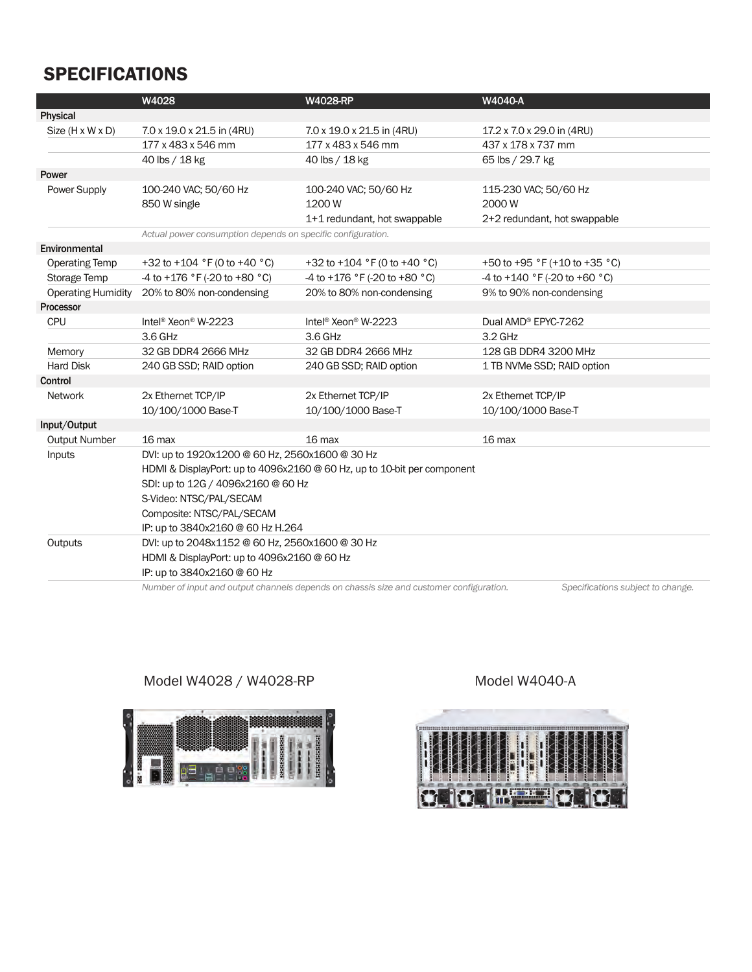## SPECIFICATIONS

|                           | W4028                                                                   | <b>W4028-RP</b>                                | <b>W4040-A</b>                                  |  |  |
|---------------------------|-------------------------------------------------------------------------|------------------------------------------------|-------------------------------------------------|--|--|
| Physical                  |                                                                         |                                                |                                                 |  |  |
| Size (H x W x D)          | 7.0 x 19.0 x 21.5 in (4RU)                                              | 7.0 x 19.0 x 21.5 in (4RU)                     | 17.2 x 7.0 x 29.0 in (4RU)                      |  |  |
|                           | 177 x 483 x 546 mm                                                      | 177 x 483 x 546 mm                             | 437 x 178 x 737 mm                              |  |  |
|                           | 40 lbs / 18 kg                                                          | 40 lbs / 18 kg                                 | 65 lbs / 29.7 kg                                |  |  |
| Power                     |                                                                         |                                                |                                                 |  |  |
| Power Supply              | 100-240 VAC; 50/60 Hz                                                   | 100-240 VAC; 50/60 Hz                          | 115-230 VAC; 50/60 Hz                           |  |  |
|                           | 850 W single                                                            | 1200 W                                         | 2000 W                                          |  |  |
|                           |                                                                         | 1+1 redundant, hot swappable                   | 2+2 redundant, hot swappable                    |  |  |
|                           | Actual power consumption depends on specific configuration.             |                                                |                                                 |  |  |
| Environmental             |                                                                         |                                                |                                                 |  |  |
| <b>Operating Temp</b>     | +32 to +104 $\degree$ F (0 to +40 $\degree$ C)                          | +32 to +104 $\degree$ F (0 to +40 $\degree$ C) | +50 to +95 $\degree$ F (+10 to +35 $\degree$ C) |  |  |
| Storage Temp              | -4 to +176 °F (-20 to +80 °C)                                           | -4 to +176 °F (-20 to +80 °C)                  | -4 to +140 °F (-20 to +60 °C)                   |  |  |
| <b>Operating Humidity</b> | 20% to 80% non-condensing                                               | 20% to 80% non-condensing                      | 9% to 90% non-condensing                        |  |  |
| Processor                 |                                                                         |                                                |                                                 |  |  |
| <b>CPU</b>                | Intel <sup>®</sup> Xeon <sup>®</sup> W-2223                             | Intel <sup>®</sup> Xeon <sup>®</sup> W-2223    | Dual AMD <sup>®</sup> EPYC-7262                 |  |  |
|                           | 3.6 GHz                                                                 | 3.6 GHz                                        | 3.2 GHz                                         |  |  |
| Memory                    | 32 GB DDR4 2666 MHz                                                     | 32 GB DDR4 2666 MHz                            | 128 GB DDR4 3200 MHz                            |  |  |
| <b>Hard Disk</b>          | 240 GB SSD; RAID option                                                 | 240 GB SSD; RAID option                        | 1 TB NVMe SSD; RAID option                      |  |  |
| Control                   |                                                                         |                                                |                                                 |  |  |
| <b>Network</b>            | 2x Ethernet TCP/IP                                                      | 2x Ethernet TCP/IP                             | 2x Ethernet TCP/IP                              |  |  |
|                           | 10/100/1000 Base-T                                                      | 10/100/1000 Base-T                             | 10/100/1000 Base-T                              |  |  |
| Input/Output              |                                                                         |                                                |                                                 |  |  |
| <b>Output Number</b>      | 16 <sub>max</sub>                                                       | 16 max                                         | 16 max                                          |  |  |
| Inputs                    | DVI: up to 1920x1200 @ 60 Hz, 2560x1600 @ 30 Hz                         |                                                |                                                 |  |  |
|                           | HDMI & DisplayPort: up to 4096x2160 @ 60 Hz, up to 10-bit per component |                                                |                                                 |  |  |
|                           | SDI: up to 12G / 4096x2160 @ 60 Hz                                      |                                                |                                                 |  |  |
|                           | S-Video: NTSC/PAL/SECAM                                                 |                                                |                                                 |  |  |
|                           | Composite: NTSC/PAL/SECAM                                               |                                                |                                                 |  |  |
|                           | IP: up to 3840x2160 @ 60 Hz H.264                                       |                                                |                                                 |  |  |
| Outputs                   | DVI: up to 2048x1152 @ 60 Hz, 2560x1600 @ 30 Hz                         |                                                |                                                 |  |  |
|                           | HDMI & DisplayPort: up to 4096x2160 @ 60 Hz                             |                                                |                                                 |  |  |
|                           | IP: up to 3840x2160 @ 60 Hz                                             |                                                |                                                 |  |  |

 *Number of input and output channels depends on chassis size and customer configuration. Specifications subject to change.* 

### Model W4028 / W4028-RP Model W4040-A